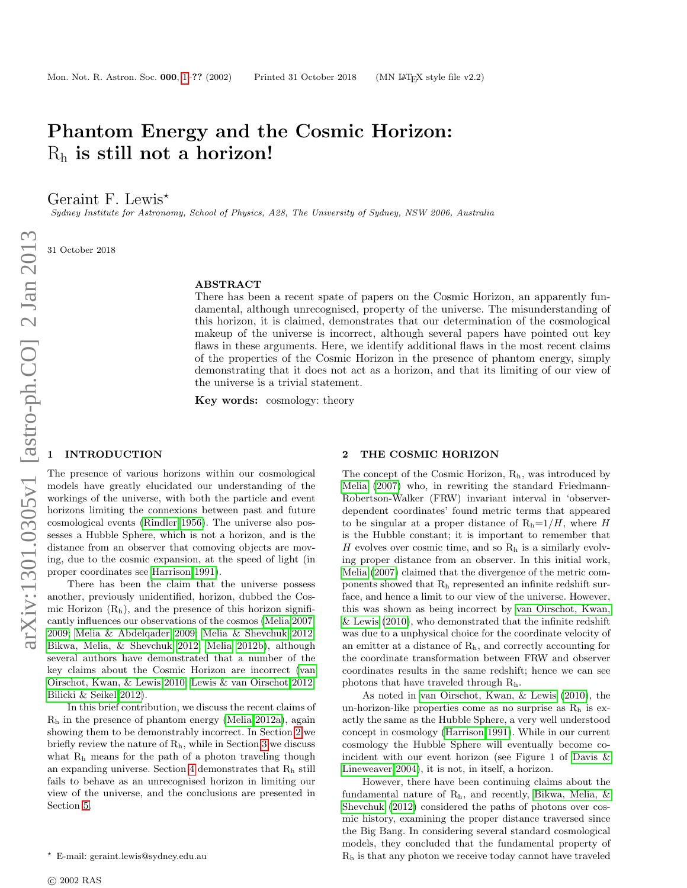# Phantom Energy and the Cosmic Horizon:  $R_h$  is still not a horizon!

Geraint F. Lewis<sup>\*</sup>

Sydney Institute for Astronomy, School of Physics, A28, The University of Sydney, NSW 2006, Australia

31 October 2018

#### ABSTRACT

There has been a recent spate of papers on the Cosmic Horizon, an apparently fundamental, although unrecognised, property of the universe. The misunderstanding of this horizon, it is claimed, demonstrates that our determination of the cosmological makeup of the universe is incorrect, although several papers have pointed out key flaws in these arguments. Here, we identify additional flaws in the most recent claims of the properties of the Cosmic Horizon in the presence of phantom energy, simply demonstrating that it does not act as a horizon, and that its limiting of our view of the universe is a trivial statement.

Key words: cosmology: theory

## <span id="page-0-0"></span>**INTRODUCTION**

The presence of various horizons within our cosmological models have greatly elucidated our understanding of the workings of the universe, with both the particle and event horizons limiting the connexions between past and future cosmological events [\(Rindler 1956\)](#page-3-0). The universe also possesses a Hubble Sphere, which is not a horizon, and is the distance from an observer that comoving objects are moving, due to the cosmic expansion, at the speed of light (in proper coordinates see [Harrison 1991\)](#page-2-0).

There has been the claim that the universe possess another, previously unidentified, horizon, dubbed the Cosmic Horizon  $(R_h)$ , and the presence of this horizon significantly influences our observations of the cosmos [\(Melia 2007,](#page-2-1) [2009;](#page-3-1) [Melia & Abdelqader 2009;](#page-3-2) [Melia & Shevchuk 2012;](#page-3-3) [Bikwa, Melia, & Shevchuk 2012;](#page-2-2) [Melia 2012b\)](#page-3-4), although several authors have demonstrated that a number of the key claims about the Cosmic Horizon are incorrect [\(van](#page-3-5) [Oirschot, Kwan, & Lewis 2010;](#page-3-5) [Lewis & van Oirschot 2012;](#page-2-3) [Bilicki & Seikel 2012\)](#page-2-4).

In this brief contribution, we discuss the recent claims of R<sup>h</sup> in the presence of phantom energy [\(Melia 2012a\)](#page-3-6), again showing them to be demonstrably incorrect. In Section [2](#page-0-1) we briefly review the nature of  $R_h$ , while in Section [3](#page-1-0) we discuss what R<sub>h</sub> means for the path of a photon traveling though an expanding universe. Section [4](#page-1-1) demonstrates that R<sup>h</sup> still fails to behave as an unrecognised horizon in limiting our view of the universe, and the conclusions are presented in Section [5.](#page-2-5)

#### <span id="page-0-1"></span>2 THE COSMIC HORIZON

The concept of the Cosmic Horizon,  $R_h$ , was introduced by [Melia](#page-2-1) [\(2007\)](#page-2-1) who, in rewriting the standard Friedmann-Robertson-Walker (FRW) invariant interval in 'observerdependent coordinates' found metric terms that appeared to be singular at a proper distance of  $R_h=1/H$ , where H is the Hubble constant; it is important to remember that H evolves over cosmic time, and so  $R_h$  is a similarly evolving proper distance from an observer. In this initial work, [Melia](#page-2-1) [\(2007\)](#page-2-1) claimed that the divergence of the metric components showed that R<sup>h</sup> represented an infinite redshift surface, and hence a limit to our view of the universe. However, this was shown as being incorrect by [van Oirschot, Kwan,](#page-3-5) [& Lewis](#page-3-5) [\(2010\)](#page-3-5), who demonstrated that the infinite redshift was due to a unphysical choice for the coordinate velocity of an emitter at a distance of Rh, and correctly accounting for the coordinate transformation between FRW and observer coordinates results in the same redshift; hence we can see photons that have traveled through Rh.

As noted in [van Oirschot, Kwan, & Lewis](#page-3-5) [\(2010\)](#page-3-5), the un-horizon-like properties come as no surprise as  $R_h$  is exactly the same as the Hubble Sphere, a very well understood concept in cosmology [\(Harrison 1991\)](#page-2-0). While in our current cosmology the Hubble Sphere will eventually become coincident with our event horizon (see Figure 1 of [Davis &](#page-2-6) [Lineweaver 2004\)](#page-2-6), it is not, in itself, a horizon.

However, there have been continuing claims about the fundamental nature of Rh, and recently, [Bikwa, Melia, &](#page-2-2) [Shevchuk](#page-2-2) [\(2012\)](#page-2-2) considered the paths of photons over cosmic history, examining the proper distance traversed since the Big Bang. In considering several standard cosmological models, they concluded that the fundamental property of R<sup>h</sup> is that any photon we receive today cannot have traveled

<sup>?</sup> E-mail: geraint.lewis@sydney.edu.au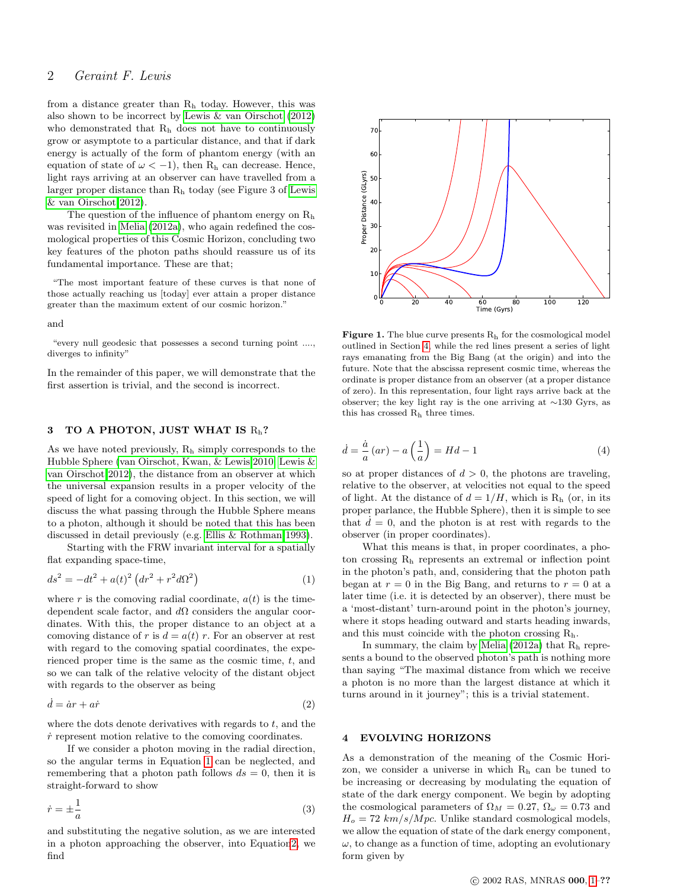# 2 Geraint F. Lewis

from a distance greater than R<sup>h</sup> today. However, this was also shown to be incorrect by [Lewis & van Oirschot](#page-2-3) [\(2012\)](#page-2-3) who demonstrated that R<sup>h</sup> does not have to continuously grow or asymptote to a particular distance, and that if dark energy is actually of the form of phantom energy (with an equation of state of  $\omega < -1$ ), then R<sub>h</sub> can decrease. Hence, light rays arriving at an observer can have travelled from a larger proper distance than R<sup>h</sup> today (see Figure 3 of [Lewis](#page-2-3) [& van Oirschot 2012\)](#page-2-3).

The question of the influence of phantom energy on  $R_h$ was revisited in [Melia](#page-3-6) [\(2012a\)](#page-3-6), who again redefined the cosmological properties of this Cosmic Horizon, concluding two key features of the photon paths should reassure us of its fundamental importance. These are that;

"The most important feature of these curves is that none of those actually reaching us [today] ever attain a proper distance greater than the maximum extent of our cosmic horizon."

#### and

"every null geodesic that possesses a second turning point ...., diverges to infinity"

In the remainder of this paper, we will demonstrate that the first assertion is trivial, and the second is incorrect.

## <span id="page-1-0"></span>3 TO A PHOTON, JUST WHAT IS  $R_h$ ?

As we have noted previously, R<sup>h</sup> simply corresponds to the Hubble Sphere [\(van Oirschot, Kwan, & Lewis 2010;](#page-3-5) [Lewis &](#page-2-3) [van Oirschot 2012\)](#page-2-3), the distance from an observer at which the universal expansion results in a proper velocity of the speed of light for a comoving object. In this section, we will discuss the what passing through the Hubble Sphere means to a photon, although it should be noted that this has been discussed in detail previously (e.g. [Ellis & Rothman 1993\)](#page-2-7).

Starting with the FRW invariant interval for a spatially flat expanding space-time,

<span id="page-1-2"></span>
$$
ds^{2} = -dt^{2} + a(t)^{2} \left( dr^{2} + r^{2} d\Omega^{2} \right)
$$
 (1)

where r is the comoving radial coordinate,  $a(t)$  is the timedependent scale factor, and  $d\Omega$  considers the angular coordinates. With this, the proper distance to an object at a comoving distance of r is  $d = a(t)$  r. For an observer at rest with regard to the comoving spatial coordinates, the experienced proper time is the same as the cosmic time, t, and so we can talk of the relative velocity of the distant object with regards to the observer as being

<span id="page-1-3"></span>
$$
\dot{d} = \dot{a}r + a\dot{r} \tag{2}
$$

where the dots denote derivatives with regards to  $t$ , and the  $\dot{r}$  represent motion relative to the comoving coordinates.

If we consider a photon moving in the radial direction, so the angular terms in Equation [1](#page-1-2) can be neglected, and remembering that a photon path follows  $ds = 0$ , then it is straight-forward to show

$$
\dot{r} = \pm \frac{1}{a} \tag{3}
$$

and substituting the negative solution, as we are interested in a photon approaching the observer, into Equatio[n2,](#page-1-3) we



<span id="page-1-4"></span>**Figure 1.** The blue curve presents  $R_h$  for the cosmological model outlined in Section [4,](#page-1-1) while the red lines present a series of light rays emanating from the Big Bang (at the origin) and into the future. Note that the abscissa represent cosmic time, whereas the ordinate is proper distance from an observer (at a proper distance of zero). In this representation, four light rays arrive back at the observer; the key light ray is the one arriving at ∼130 Gyrs, as this has crossed R<sup>h</sup> three times.

$$
\dot{d} = \frac{\dot{a}}{a}(ar) - a\left(\frac{1}{a}\right) = Hd - 1\tag{4}
$$

so at proper distances of  $d > 0$ , the photons are traveling, relative to the observer, at velocities not equal to the speed of light. At the distance of  $d = 1/H$ , which is R<sub>h</sub> (or, in its proper parlance, the Hubble Sphere), then it is simple to see that  $d = 0$ , and the photon is at rest with regards to the observer (in proper coordinates).

What this means is that, in proper coordinates, a photon crossing R<sup>h</sup> represents an extremal or inflection point in the photon's path, and, considering that the photon path began at  $r = 0$  in the Big Bang, and returns to  $r = 0$  at a later time (i.e. it is detected by an observer), there must be a 'most-distant' turn-around point in the photon's journey, where it stops heading outward and starts heading inwards, and this must coincide with the photon crossing  $R_h$ .

In summary, the claim by [Melia](#page-3-6)  $(2012a)$  that  $R_h$  represents a bound to the observed photon's path is nothing more than saying "The maximal distance from which we receive a photon is no more than the largest distance at which it turns around in it journey"; this is a trivial statement.

## <span id="page-1-1"></span>4 EVOLVING HORIZONS

sevent than the maximum energy of our connic horizon,"<br>
and<br>
and<br>
and<br>
and<br>
any spectral connections are connected by the second turning with...<br>
Figure and spectral connections are connected by the second turning with<br> As a demonstration of the meaning of the Cosmic Horizon, we consider a universe in which R<sup>h</sup> can be tuned to be increasing or decreasing by modulating the equation of state of the dark energy component. We begin by adopting the cosmological parameters of  $\Omega_M = 0.27$ ,  $\Omega_\omega = 0.73$  and  $H_o = 72 \; km/s/Mpc$ . Unlike standard cosmological models, we allow the equation of state of the dark energy component,  $\omega$ , to change as a function of time, adopting an evolutionary form given by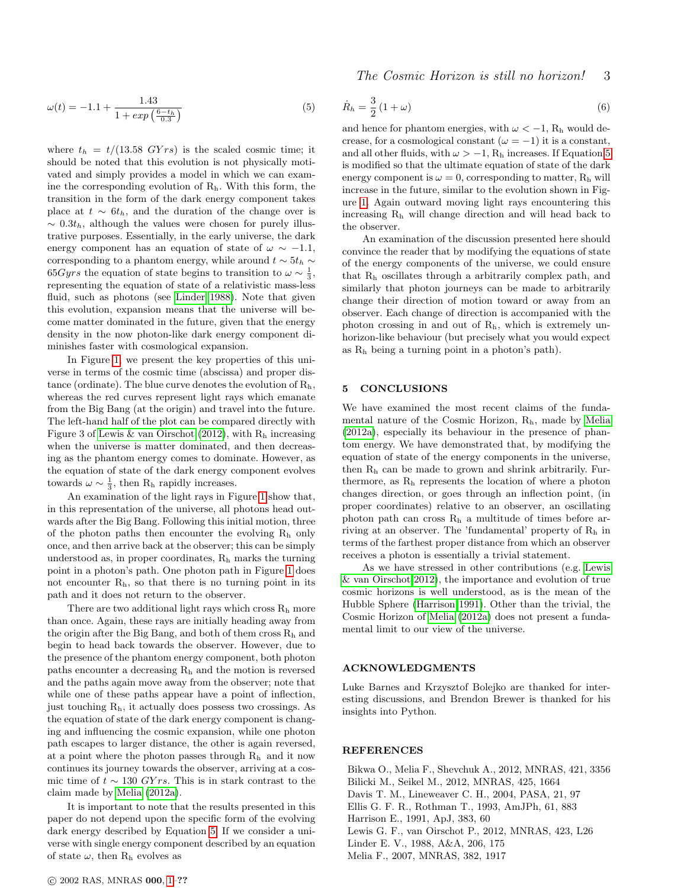<span id="page-2-9"></span>
$$
\omega(t) = -1.1 + \frac{1.43}{1 + \exp\left(\frac{6 - t_h}{0.3}\right)}\tag{5}
$$

where  $t_h = t/(13.58 \text{ GY} \text{ s})$  is the scaled cosmic time; it should be noted that this evolution is not physically motivated and simply provides a model in which we can examine the corresponding evolution of  $R_h$ . With this form, the transition in the form of the dark energy component takes place at  $t \sim 6t_h$ , and the duration of the change over is  $\sim 0.3t_h$ , although the values were chosen for purely illustrative purposes. Essentially, in the early universe, the dark energy component has an equation of state of  $\omega \sim -1.1$ , corresponding to a phantom energy, while around  $t \sim 5t_h \sim$ 65Gyrs the equation of state begins to transition to  $\omega \sim \frac{1}{3}$ , representing the equation of state of a relativistic mass-less fluid, such as photons (see [Linder 1988\)](#page-2-8). Note that given this evolution, expansion means that the universe will become matter dominated in the future, given that the energy density in the now photon-like dark energy component diminishes faster with cosmological expansion.

In Figure [1,](#page-1-4) we present the key properties of this universe in terms of the cosmic time (abscissa) and proper distance (ordinate). The blue curve denotes the evolution of  $R_h$ , whereas the red curves represent light rays which emanate from the Big Bang (at the origin) and travel into the future. The left-hand half of the plot can be compared directly with Figure 3 of [Lewis & van Oirschot](#page-2-3) [\(2012\)](#page-2-3), with  $R<sub>h</sub>$  increasing when the universe is matter dominated, and then decreasing as the phantom energy comes to dominate. However, as the equation of state of the dark energy component evolves towards  $\omega \sim \frac{1}{3}$ , then R<sub>h</sub> rapidly increases.

An examination of the light rays in Figure [1](#page-1-4) show that, in this representation of the universe, all photons head outwards after the Big Bang. Following this initial motion, three of the photon paths then encounter the evolving  $R_h$  only once, and then arrive back at the observer; this can be simply understood as, in proper coordinates,  $R_h$  marks the turning point in a photon's path. One photon path in Figure [1](#page-1-4) does not encounter  $R<sub>h</sub>$ , so that there is no turning point in its path and it does not return to the observer.

There are two additional light rays which cross  $R_h$  more than once. Again, these rays are initially heading away from the origin after the Big Bang, and both of them cross  $R_h$  and begin to head back towards the observer. However, due to the presence of the phantom energy component, both photon paths encounter a decreasing  $R_h$  and the motion is reversed and the paths again move away from the observer; note that while one of these paths appear have a point of inflection, just touching  $R_h$ , it actually does possess two crossings. As the equation of state of the dark energy component is changing and influencing the cosmic expansion, while one photon path escapes to larger distance, the other is again reversed, at a point where the photon passes through  $R_h$  and it now continues its journey towards the observer, arriving at a cosmic time of  $t \sim 130 \text{ GYrs}$ . This is in stark contrast to the claim made by [Melia](#page-3-6) [\(2012a\)](#page-3-6).

It is important to note that the results presented in this paper do not depend upon the specific form of the evolving dark energy described by Equation [5.](#page-2-9) If we consider a universe with single energy component described by an equation of state  $\omega$ , then R<sub>h</sub> evolves as

The Cosmic Horizon is still no horizon! 3

$$
\dot{R}_h = \frac{3}{2} \left( 1 + \omega \right) \tag{6}
$$

and hence for phantom energies, with  $\omega < -1$ , R<sub>h</sub> would decrease, for a cosmological constant ( $\omega = -1$ ) it is a constant, and all other fluids, with  $\omega > -1$ , R<sub>h</sub> increases. If Equation [5](#page-2-9) is modified so that the ultimate equation of state of the dark energy component is  $\omega = 0$ , corresponding to matter,  $R_h$  will increase in the future, similar to the evolution shown in Figure [1.](#page-1-4) Again outward moving light rays encountering this increasing R<sup>h</sup> will change direction and will head back to the observer.

An examination of the discussion presented here should convince the reader that by modifying the equations of state of the energy components of the universe, we could ensure that R<sup>h</sup> oscillates through a arbitrarily complex path, and similarly that photon journeys can be made to arbitrarily change their direction of motion toward or away from an observer. Each change of direction is accompanied with the photon crossing in and out of Rh, which is extremely unhorizon-like behaviour (but precisely what you would expect as R<sup>h</sup> being a turning point in a photon's path).

## <span id="page-2-5"></span>5 CONCLUSIONS

We have examined the most recent claims of the fundamental nature of the Cosmic Horizon, Rh, made by [Melia](#page-3-6) [\(2012a\)](#page-3-6), especially its behaviour in the presence of phantom energy. We have demonstrated that, by modifying the equation of state of the energy components in the universe, then R<sup>h</sup> can be made to grown and shrink arbitrarily. Furthermore, as  $R_h$  represents the location of where a photon changes direction, or goes through an inflection point, (in proper coordinates) relative to an observer, an oscillating photon path can cross  $R_h$  a multitude of times before arriving at an observer. The 'fundamental' property of R<sup>h</sup> in terms of the farthest proper distance from which an observer receives a photon is essentially a trivial statement.

As we have stressed in other contributions (e.g. [Lewis](#page-2-3) [& van Oirschot 2012\)](#page-2-3), the importance and evolution of true cosmic horizons is well understood, as is the mean of the Hubble Sphere [\(Harrison 1991\)](#page-2-0). Other than the trivial, the Cosmic Horizon of [Melia](#page-3-6) [\(2012a\)](#page-3-6) does not present a fundamental limit to our view of the universe.

#### ACKNOWLEDGMENTS

Luke Barnes and Krzysztof Bolejko are thanked for interesting discussions, and Brendon Brewer is thanked for his insights into Python.

#### REFERENCES

<span id="page-2-8"></span><span id="page-2-7"></span><span id="page-2-6"></span><span id="page-2-4"></span><span id="page-2-3"></span><span id="page-2-2"></span><span id="page-2-1"></span><span id="page-2-0"></span>Bikwa O., Melia F., Shevchuk A., 2012, MNRAS, 421, 3356 Bilicki M., Seikel M., 2012, MNRAS, 425, 1664 Davis T. M., Lineweaver C. H., 2004, PASA, 21, 97 Ellis G. F. R., Rothman T., 1993, AmJPh, 61, 883 Harrison E., 1991, ApJ, 383, 60 Lewis G. F., van Oirschot P., 2012, MNRAS, 423, L26 Linder E. V., 1988, A&A, 206, 175 Melia F., 2007, MNRAS, 382, 1917